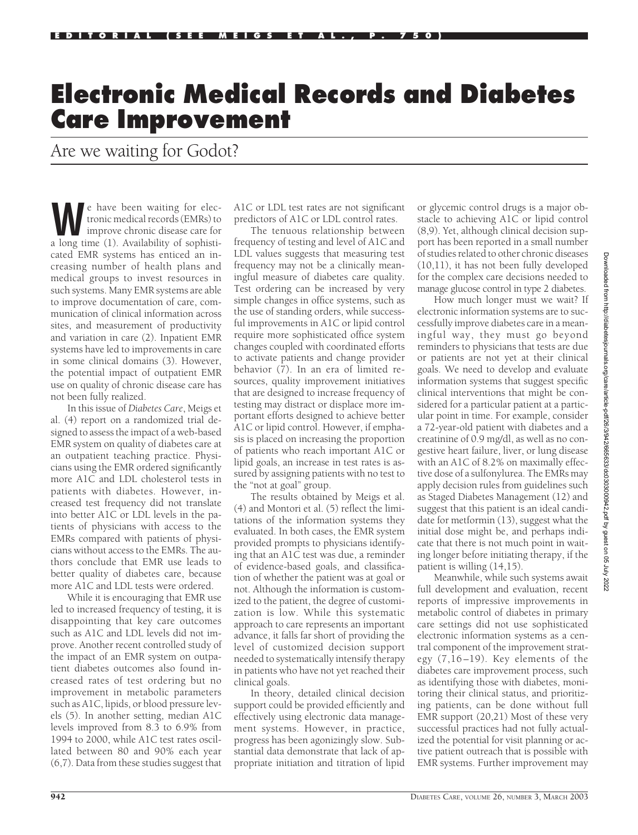## **Electronic Medical Records and Diabetes Care Improvement**

Are we waiting for Godot?

**We have been waiting for election**<br>tronic medical records (EMRs) to<br>improve chronic disease care for<br>a long time (1) Availability of sophistitronic medical records (EMRs) to a long time (1). Availability of sophisticated EMR systems has enticed an increasing number of health plans and medical groups to invest resources in such systems. Many EMR systems are able to improve documentation of care, communication of clinical information across sites, and measurement of productivity and variation in care (2). Inpatient EMR systems have led to improvements in care in some clinical domains (3). However, the potential impact of outpatient EMR use on quality of chronic disease care has not been fully realized.

In this issue of *Diabetes Care*, Meigs et al. (4) report on a randomized trial designed to assess the impact of a web-based EMR system on quality of diabetes care at an outpatient teaching practice. Physicians using the EMR ordered significantly more A1C and LDL cholesterol tests in patients with diabetes. However, increased test frequency did not translate into better A1C or LDL levels in the patients of physicians with access to the EMRs compared with patients of physicians without access to the EMRs. The authors conclude that EMR use leads to better quality of diabetes care, because more A1C and LDL tests were ordered.

While it is encouraging that EMR use led to increased frequency of testing, it is disappointing that key care outcomes such as A1C and LDL levels did not improve. Another recent controlled study of the impact of an EMR system on outpatient diabetes outcomes also found increased rates of test ordering but no improvement in metabolic parameters such as A1C, lipids, or blood pressure levels (5). In another setting, median A1C levels improved from 8.3 to 6.9% from 1994 to 2000, while A1C test rates oscillated between 80 and 90% each year (6,7). Data from these studies suggest that

A1C or LDL test rates are not significant predictors of A1C or LDL control rates.

The tenuous relationship between frequency of testing and level of A1C and LDL values suggests that measuring test frequency may not be a clinically meaningful measure of diabetes care quality. Test ordering can be increased by very simple changes in office systems, such as the use of standing orders, while successful improvements in A1C or lipid control require more sophisticated office system changes coupled with coordinated efforts to activate patients and change provider behavior (7). In an era of limited resources, quality improvement initiatives that are designed to increase frequency of testing may distract or displace more important efforts designed to achieve better A1C or lipid control. However, if emphasis is placed on increasing the proportion of patients who reach important A1C or lipid goals, an increase in test rates is assured by assigning patients with no test to the "not at goal" group.

The results obtained by Meigs et al. (4) and Montori et al. (5) reflect the limitations of the information systems they evaluated. In both cases, the EMR system provided prompts to physicians identifying that an A1C test was due, a reminder of evidence-based goals, and classification of whether the patient was at goal or not. Although the information is customized to the patient, the degree of customization is low. While this systematic approach to care represents an important advance, it falls far short of providing the level of customized decision support needed to systematically intensify therapy in patients who have not yet reached their clinical goals.

In theory, detailed clinical decision support could be provided efficiently and effectively using electronic data management systems. However, in practice, progress has been agonizingly slow. Substantial data demonstrate that lack of appropriate initiation and titration of lipid or glycemic control drugs is a major obstacle to achieving A1C or lipid control (8,9). Yet, although clinical decision support has been reported in a small number of studies related to other chronic diseases (10,11), it has not been fully developed for the complex care decisions needed to manage glucose control in type 2 diabetes.

How much longer must we wait? If electronic information systems are to successfully improve diabetes care in a meaningful way, they must go beyond reminders to physicians that tests are due or patients are not yet at their clinical goals. We need to develop and evaluate information systems that suggest specific clinical interventions that might be considered for a particular patient at a particular point in time. For example, consider a 72-year-old patient with diabetes and a creatinine of 0.9 mg/dl, as well as no congestive heart failure, liver, or lung disease with an A1C of 8.2% on maximally effective dose of a sulfonylurea. The EMRs may apply decision rules from guidelines such as Staged Diabetes Management (12) and suggest that this patient is an ideal candidate for metformin (13), suggest what the initial dose might be, and perhaps indicate that there is not much point in waiting longer before initiating therapy, if the patient is willing (14,15).

Meanwhile, while such systems await full development and evaluation, recent reports of impressive improvements in metabolic control of diabetes in primary care settings did not use sophisticated electronic information systems as a central component of the improvement strategy (7,16–19). Key elements of the diabetes care improvement process, such as identifying those with diabetes, monitoring their clinical status, and prioritizing patients, can be done without full EMR support (20,21) Most of these very successful practices had not fully actualized the potential for visit planning or active patient outreach that is possible with EMR systems. Further improvement may